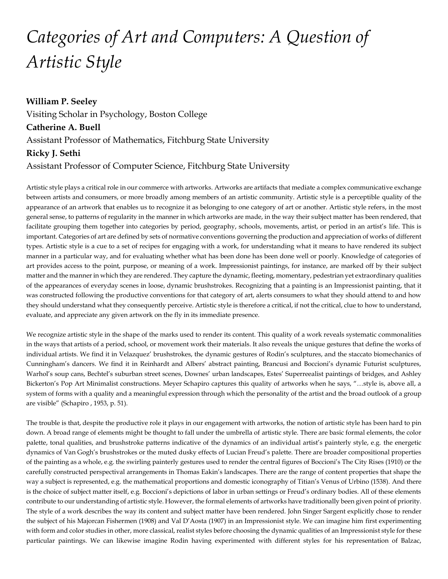## *Categories of Art and Computers: A Question of Artistic Style*

**William P. Seeley** Visiting Scholar in Psychology, Boston College **Catherine A. Buell** Assistant Professor of Mathematics, Fitchburg State University **Ricky J. Sethi** Assistant Professor of Computer Science, Fitchburg State University

Artistic style plays a critical role in our commerce with artworks. Artworks are artifacts that mediate a complex communicative exchange between artists and consumers, or more broadly among members of an artistic community. Artistic style is a perceptible quality of the appearance of an artwork that enables us to recognize it as belonging to one category of art or another. Artistic style refers, in the most general sense, to patterns of regularity in the manner in which artworks are made, in the way their subject matter has been rendered, that facilitate grouping them together into categories by period, geography, schools, movements, artist, or period in an artist's life. This is important. Categories of art are defined by sets of normative conventions governing the production and appreciation of works of different types. Artistic style is a cue to a set of recipes for engaging with a work, for understanding what it means to have rendered its subject manner in a particular way, and for evaluating whether what has been done has been done well or poorly. Knowledge of categories of art provides access to the point, purpose, or meaning of a work. Impressionist paintings, for instance, are marked off by their subject matter and the manner in which they are rendered. They capture the dynamic, fleeting, momentary, pedestrian yet extraordinary qualities of the appearances of everyday scenes in loose, dynamic brushstrokes. Recognizing that a painting is an Impressionist painting, that it was constructed following the productive conventions for that category of art, alerts consumers to what they should attend to and how they should understand what they consequently perceive. Artistic style is therefore a critical, if not the critical, clue to how to understand, evaluate, and appreciate any given artwork on the fly in its immediate presence.

We recognize artistic style in the shape of the marks used to render its content. This quality of a work reveals systematic commonalities in the ways that artists of a period, school, or movement work their materials. It also reveals the unique gestures that define the works of individual artists. We find it in Velazquez' brushstrokes, the dynamic gestures of Rodin's sculptures, and the staccato biomechanics of Cunningham's dancers. We find it in Reinhardt and Albers' abstract painting, Brancusi and Boccioni's dynamic Futurist sculptures, Warhol's soup cans, Bechtel's suburban street scenes, Downes' urban landscapes, Estes' Superreealist paintings of bridges, and Ashley Bickerton's Pop Art Minimalist constructions. Meyer Schapiro captures this quality of artworks when he says, "…style is, above all, a system of forms with a quality and a meaningful expression through which the personality of the artist and the broad outlook of a group are visible" (Schapiro , 1953, p. 51).

The trouble is that, despite the productive role it plays in our engagement with artworks, the notion of artistic style has been hard to pin down. A broad range of elements might be thought to fall under the umbrella of artistic style. There are basic formal elements, the color palette, tonal qualities, and brushstroke patterns indicative of the dynamics of an individual artist's painterly style, e.g. the energetic dynamics of Van Gogh's brushstrokes or the muted dusky effects of Lucian Freud's palette. There are broader compositional properties of the painting as a whole, e.g. the swirling painterly gestures used to render the central figures of Boccioni's The City Rises (1910) or the carefully constructed perspectival arrangements in Thomas Eakin's landscapes. There are the range of content properties that shape the way a subject is represented, e.g. the mathematical proportions and domestic iconography of Titian's Venus of Urbino (1538). And there is the choice of subject matter itself, e.g. Boccioni's depictions of labor in urban settings or Freud's ordinary bodies. All of these elements contribute to our understanding of artistic style. However, the formal elements of artworks have traditionally been given point of priority. The style of a work describes the way its content and subject matter have been rendered. John Singer Sargent explicitly chose to render the subject of his Majorcan Fishermen (1908) and Val D'Aosta (1907) in an Impressionist style. We can imagine him first experimenting with form and color studies in other, more classical, realist styles before choosing the dynamic qualities of an Impressionist style for these particular paintings. We can likewise imagine Rodin having experimented with different styles for his representation of Balzac,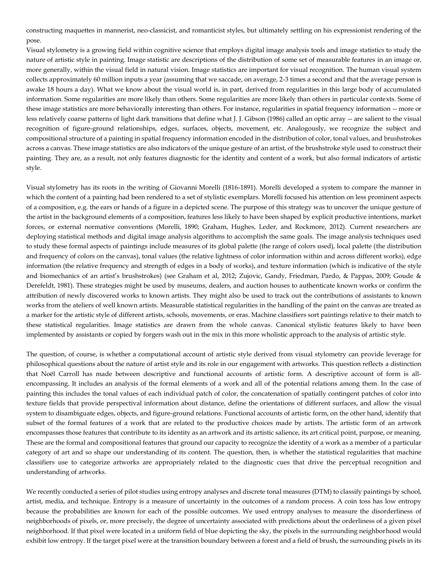constructing maquettes in mannerist, neo-classicist, and romanticist styles, but ultimately settling on his expressionist rendering of the pose.

Visual stylometry is a growing field within cognitive science that employs digital image analysis tools and image statistics to study the nature of artistic style in painting. Image statistic are descriptions of the distribution of some set of measurable features in an image or, more generally, within the visual field in natural vision. Image statistics are important for visual recognition. The human visual system collects approximately 60 million inputs a year (assuming that we saccade, on average, 2-3 times a second and that the average person is awake 18 hours a day). What we know about the visual world is, in part, derived from regularities in this large body of accumulated information. Some regularities are more likely than others. Some regularities are more likely than others in particular contexts. Some of these image statistics are more behaviorally interesting than others. For instance, regularities in spatial frequency information -- more or less relatively coarse patterns of light dark transitions that define what J. J. Gibson (1986) called an optic array -- are salient to the visual recognition of figure-ground relationships, edges, surfaces, objects, movement, etc. Analogously, we recognize the subject and compositional structure of a painting in spatial frequency information encoded in the distribution of color, tonal values, and brushstrokes across a canvas. These image statistics are also indicators of the unique gesture of an artist, of the brushstroke style used to construct their painting. They are, as a result, not only features diagnostic for the identity and content of a work, but also formal indicators of artistic style.

Visual stylometry has its roots in the writing of Giovanni Morelli (1816-1891). Morelli developed a system to compare the manner in which the content of a painting had been rendered to a set of stylistic exemplars. Morelli focused his attention on less prominent aspects of a composition, e.g. the ears or hands of a figure in a depicted scene. The purpose of this strategy was to uncover the unique gesture of the artist in the background elements of a composition, features less likely to have been shaped by explicit productive intentions, market forces, or external normative conventions (Morelli, 1890; Graham, Hughes, Leder, and Rockmore, 2012). Current researchers are deploying statistical methods and digital image analysis algorithms to accomplish the same goals. The image analysis techniques used to study these formal aspects of paintings include measures of its global palette (the range of colors used), local palette (the distribution and frequency of colors on the canvas), tonal values (the relative lightness of color information within and across different works), edge information (the relative frequency and strength of edges in a body of works), and texture information (which is indicative of the style and biomechanics of an artist's brushstrokes) (see Graham et al, 2012; Zujovic, Gandy, Friedman, Pardo, & Pappas, 2009; Goude & Derefeldt, 1981). These strategies might be used by museums, dealers, and auction houses to authenticate known works or confirm the attribution of newly discovered works to known artists. They might also be used to track out the contributions of assistants to known works from the ateliers of well known artists. Measurable statistical regularities in the handling of the paint on the canvas are treated as a marker for the artistic style of different artists, schools, movements, or eras. Machine classifiers sort paintings relative to their match to these statistical regularities. Image statistics are drawn from the whole canvas. Canonical stylistic features likely to have been implemented by assistants or copied by forgers wash out in the mix in this more wholistic approach to the analysis of artistic style.

The question, of course, is whether a computational account of artistic style derived from visual stylometry can provide leverage for philosophical questions about the nature of artist style and its role in our engagement with artworks. This question reflects a distinction that Noël Carroll has made between descriptive and functional accounts of artistic form. A descriptive account of form is allencompassing. It includes an analysis of the formal elements of a work and all of the potential relations among them. In the case of painting this includes the tonal values of each individual patch of color, the concatenation of spatially contingent patches of color into texture fields that provide perspectival information about distance, define the orientations of different surfaces, and allow the visual system to disambiguate edges, objects, and figure-ground relations. Functional accounts of artistic form, on the other hand, identify that subset of the formal features of a work that are related to the productive choices made by artists. The artistic form of an artwork encompasses those features that contribute to its identity as an artwork and its artistic salience, its art critical point, purpose, or meaning. These are the formal and compositional features that ground our capacity to recognize the identity of a work as a member of a particular category of art and so shape our understanding of its content. The question, then, is whether the statistical regularities that machine classifiers use to categorize artworks are appropriately related to the diagnostic cues that drive the perceptual recognition and understanding of artworks.

We recently conducted a series of pilot studies using entropy analyses and discrete tonal measures (DTM) to classify paintings by school, artist, media, and technique. Entropy is a measure of uncertainty in the outcomes of a random process. A coin toss has low entropy because the probabilities are known for each of the possible outcomes. We used entropy analyses to measure the disorderliness of neighborhoods of pixels, or, more precisely, the degree of uncertainty associated with predictions about the orderliness of a given pixel neighborhood. If that pixel were located in a uniform field of blue depicting the sky, the pixels in the surrounding neighborhood would exhibit low entropy. If the target pixel were at the transition boundary between a forest and a field of brush, the surrounding pixels in its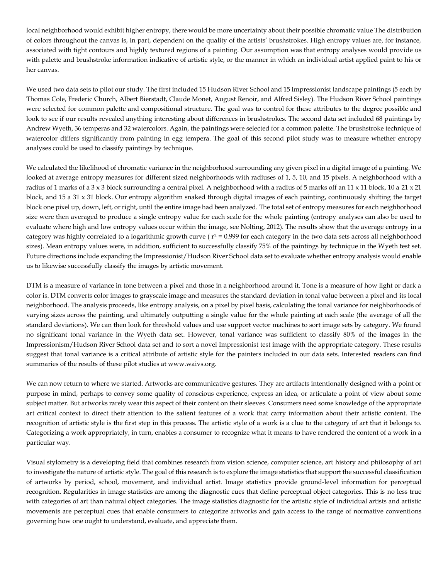local neighborhood would exhibit higher entropy, there would be more uncertainty about their possible chromatic value The distribution of colors throughout the canvas is, in part, dependent on the quality of the artists' brushstrokes. High entropy values are, for instance, associated with tight contours and highly textured regions of a painting. Our assumption was that entropy analyses would provide us with palette and brushstroke information indicative of artistic style, or the manner in which an individual artist applied paint to his or her canvas.

We used two data sets to pilot our study. The first included 15 Hudson River School and 15 Impressionist landscape paintings (5 each by Thomas Cole, Frederic Church, Albert Bierstadt, Claude Monet, August Renoir, and Alfred Sisley). The Hudson River School paintings were selected for common palette and compositional structure. The goal was to control for these attributes to the degree possible and look to see if our results revealed anything interesting about differences in brushstrokes. The second data set included 68 paintings by Andrew Wyeth, 36 temperas and 32 watercolors. Again, the paintings were selected for a common palette. The brushstroke technique of watercolor differs significantly from painting in egg tempera. The goal of this second pilot study was to measure whether entropy analyses could be used to classify paintings by technique.

We calculated the likelihood of chromatic variance in the neighborhood surrounding any given pixel in a digital image of a painting. We looked at average entropy measures for different sized neighborhoods with radiuses of 1, 5, 10, and 15 pixels. A neighborhood with a radius of 1 marks of a 3 x 3 block surrounding a central pixel. A neighborhood with a radius of 5 marks off an 11 x 11 block, 10 a 21 x 21 block, and 15 a 31 x 31 block. Our entropy algorithm snaked through digital images of each painting, continuously shifting the target block one pixel up, down, left, or right, until the entire image had been analyzed. The total set of entropy measures for each neighborhood size were then averaged to produce a single entropy value for each scale for the whole painting (entropy analyses can also be used to evaluate where high and low entropy values occur within the image, see Nolting, 2012). The results show that the average entropy in a category was highly correlated to a logarithmic growth curve ( $r^2$  = 0.999 for each category in the two data sets across all neighborhood sizes). Mean entropy values were, in addition, sufficient to successfully classify 75% of the paintings by technique in the Wyeth test set. Future directions include expanding the Impressionist/Hudson River School data set to evaluate whether entropy analysis would enable us to likewise successfully classify the images by artistic movement.

DTM is a measure of variance in tone between a pixel and those in a neighborhood around it. Tone is a measure of how light or dark a color is. DTM converts color images to grayscale image and measures the standard deviation in tonal value between a pixel and its local neighborhood. The analysis proceeds, like entropy analysis, on a pixel by pixel basis, calculating the tonal variance for neighborhoods of varying sizes across the painting, and ultimately outputting a single value for the whole painting at each scale (the average of all the standard deviations). We can then look for threshold values and use support vector machines to sort image sets by category. We found no significant tonal variance in the Wyeth data set. However, tonal variance was sufficient to classify 80% of the images in the Impressionism/Hudson River School data set and to sort a novel Impressionist test image with the appropriate category. These results suggest that tonal variance is a critical attribute of artistic style for the painters included in our data sets. Interested readers can find summaries of the results of these pilot studies at www.waivs.org.

We can now return to where we started. Artworks are communicative gestures. They are artifacts intentionally designed with a point or purpose in mind, perhaps to convey some quality of conscious experience, express an idea, or articulate a point of view about some subject matter. But artworks rarely wear this aspect of their content on their sleeves. Consumers need some knowledge of the appropriate art critical context to direct their attention to the salient features of a work that carry information about their artistic content. The recognition of artistic style is the first step in this process. The artistic style of a work is a clue to the category of art that it belongs to. Categorizing a work appropriately, in turn, enables a consumer to recognize what it means to have rendered the content of a work in a particular way.

Visual stylometry is a developing field that combines research from vision science, computer science, art history and philosophy of art to investigate the nature of artistic style. The goal of this research is to explore the image statistics that support the successful classification of artworks by period, school, movement, and individual artist. Image statistics provide ground-level information for perceptual recognition. Regularities in image statistics are among the diagnostic cues that define perceptual object categories. This is no less true with categories of art than natural object categories. The image statistics diagnostic for the artistic style of individual artists and artistic movements are perceptual cues that enable consumers to categorize artworks and gain access to the range of normative conventions governing how one ought to understand, evaluate, and appreciate them.